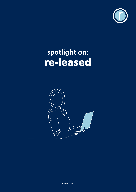

# **spotlight on:** re-leased